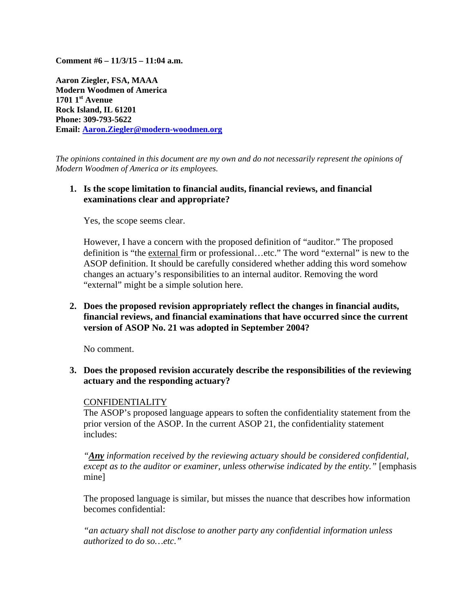**Comment #6 – 11/3/15 – 11:04 a.m.** 

**Aaron Ziegler, FSA, MAAA Modern Woodmen of America 1701 1st Avenue Rock Island, IL 61201 Phone: 309**‐**793-5622 Email: Aaron.Ziegler@modern-woodmen.org**

*The opinions contained in this document are my own and do not necessarily represent the opinions of Modern Woodmen of America or its employees.* 

## **1. Is the scope limitation to financial audits, financial reviews, and financial examinations clear and appropriate?**

Yes, the scope seems clear.

However, I have a concern with the proposed definition of "auditor." The proposed definition is "the external firm or professional…etc." The word "external" is new to the ASOP definition. It should be carefully considered whether adding this word somehow changes an actuary's responsibilities to an internal auditor. Removing the word "external" might be a simple solution here.

**2. Does the proposed revision appropriately reflect the changes in financial audits, financial reviews, and financial examinations that have occurred since the current version of ASOP No. 21 was adopted in September 2004?** 

No comment.

**3. Does the proposed revision accurately describe the responsibilities of the reviewing actuary and the responding actuary?** 

### CONFIDENTIALITY

The ASOP's proposed language appears to soften the confidentiality statement from the prior version of the ASOP. In the current ASOP 21, the confidentiality statement includes:

*"Any information received by the reviewing actuary should be considered confidential, except as to the auditor or examiner, unless otherwise indicated by the entity.* " [emphasis mine]

The proposed language is similar, but misses the nuance that describes how information becomes confidential:

*"an actuary shall not disclose to another party any confidential information unless authorized to do so…etc."*